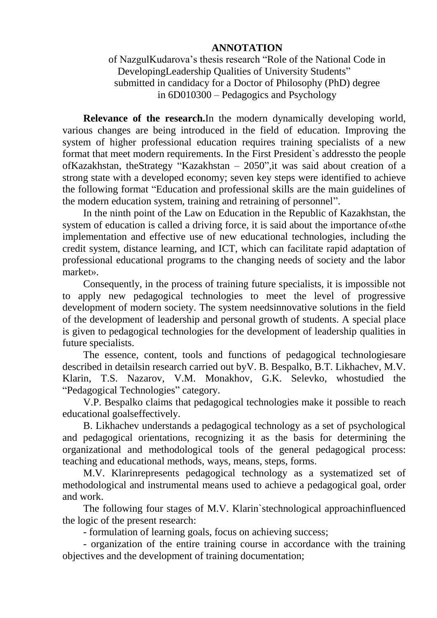## **ANNOTATION**

of NazgulKudarova's thesis research "Role of the National Code in DevelopingLeadership Qualities of University Students" submitted in candidacy for a Doctor of Philosophy (PhD) degree in 6D010300 – Pedagogics and Psychology

**Relevance of the research.**In the modern dynamically developing world, various changes are being introduced in the field of education. Improving the system of higher professional education requires training specialists of a new format that meet modern requirements. In the First President`s addressto the people ofKazakhstan, theStrategy "Kazakhstan – 2050",it was said about creation of a strong state with a developed economy; seven key steps were identified to achieve the following format "Education and professional skills are the main guidelines of the modern education system, training and retraining of personnel".

In the ninth point of the Law on Education in the Republic of Kazakhstan, the system of education is called a driving force, it is said about the importance of«the implementation and effective use of new educational technologies, including the credit system, distance learning, and ICT, which can facilitate rapid adaptation of professional educational programs to the changing needs of society and the labor market».

Consequently, in the process of training future specialists, it is impossible not to apply new pedagogical technologies to meet the level of progressive development of modern society. The system needsinnovative solutions in the field of the development of leadership and personal growth of students. A special place is given to pedagogical technologies for the development of leadership qualities in future specialists.

The essence, content, tools and functions of pedagogical technologiesare described in detailsin research carried out byV. B. Bespalko, B.T. Likhachev, M.V. Klarin, T.S. Nazarov, V.M. Monakhov, G.K. Selevko, whostudied the "Pedagogical Technologies" category.

V.P. Bespalko claims that pedagogical technologies make it possible to reach educational goalseffectively.

B. Likhachev understands a pedagogical technology as a set of psychological and pedagogical orientations, recognizing it as the basis for determining the organizational and methodological tools of the general pedagogical process: teaching and educational methods, ways, means, steps, forms.

M.V. Klarinrepresents pedagogical technology as a systematized set of methodological and instrumental means used to achieve a pedagogical goal, order and work.

The following four stages of M.V. Klarin`stechnological approachinfluenced the logic of the present research:

- formulation of learning goals, focus on achieving success;

- organization of the entire training course in accordance with the training objectives and the development of training documentation;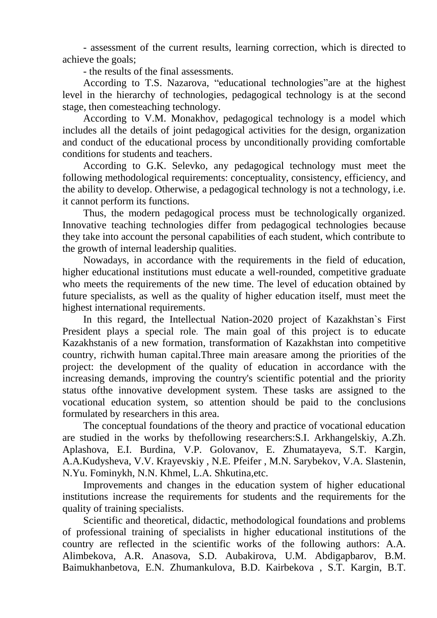- assessment of the current results, learning correction, which is directed to achieve the goals;

- the results of the final assessments.

According to T.S. Nazarova, "educational technologies"are at the highest level in the hierarchy of technologies, pedagogical technology is at the second stage, then comesteaching technology.

According to V.M. Monakhov, pedagogical technology is a model which includes all the details of joint pedagogical activities for the design, organization and conduct of the educational process by unconditionally providing comfortable conditions for students and teachers.

According to G.K. Selevko, any pedagogical technology must meet the following methodological requirements: conceptuality, consistency, efficiency, and the ability to develop. Otherwise, a pedagogical technology is not a technology, i.e. it cannot perform its functions.

Thus, the modern pedagogical process must be technologically organized. Innovative teaching technologies differ from pedagogical technologies because they take into account the personal capabilities of each student, which contribute to the growth of internal leadership qualities.

Nowadays, in accordance with the requirements in the field of education, higher educational institutions must educate a well-rounded, competitive graduate who meets the requirements of the new time. The level of education obtained by future specialists, as well as the quality of higher education itself, must meet the highest international requirements.

In this regard, the Intellectual Nation-2020 project of Kazakhstan`s First President plays a special role. The main goal of this project is to educate Kazakhstanis of a new formation, transformation of Kazakhstan into competitive country, richwith human capital.Three main areasare among the priorities of the project: the development of the quality of education in accordance with the increasing demands, improving the country's scientific potential and the priority status ofthe innovative development system. These tasks are assigned to the vocational education system, so attention should be paid to the conclusions formulated by researchers in this area.

The conceptual foundations of the theory and practice of vocational education are studied in the works by thefollowing researchers:S.I. Arkhangelskiy, A.Zh. Aplashova, E.I. Burdina, V.P. Golovanov, E. Zhumatayeva, S.T. Kargin, A.A.Kudysheva, V.V. Krayevskiy , N.E. Pfeifer , M.N. Sarybekov, V.A. Slastenin, N.Yu. Fominykh, N.N. Khmel, L.A. Shkutina,etc.

Improvements and changes in the education system of higher educational institutions increase the requirements for students and the requirements for the quality of training specialists.

Scientific and theoretical, didactic, methodological foundations and problems of professional training of specialists in higher educational institutions of the country are reflected in the scientific works of the following authors: A.A. Alimbekova, A.R. Anasova, S.D. Aubakirova, U.M. Abdigapbarov, B.M. Baimukhanbetova, E.N. Zhumankulova, B.D. Kairbekova , S.T. Kargin, B.T.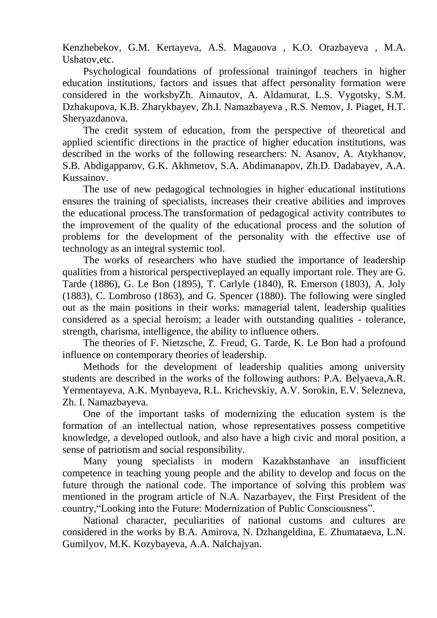Kenzhebekov, G.M. Kertayeva, A.S. Magauova , K.O. Orazbayeva , M.A. Ushatov,etc.

Psychological foundations of professional trainingof teachers in higher education institutions, factors and issues that affect personality formation were considered in the worksbyZh. Aimautov, A. Aldamurat, L.S. Vygotsky, S.M. Dzhakupova, K.B. Zharykbayev, Zh.I. Namazbayeva , R.S. Nemov, J. Piaget, H.T. Sheryazdanova.

The credit system of education, from the perspective of theoretical and applied scientific directions in the practice of higher education institutions, was described in the works of the following researchers: N. Asanov, A. Atykhanov, S.B. Abdigapparov, G.K. Akhmetov, S.A. Abdimanapov, Zh.D. Dadabayev, A.A. Kussainov.

The use of new pedagogical technologies in higher educational institutions ensures the training of specialists, increases their creative abilities and improves the educational process.The transformation of pedagogical activity contributes to the improvement of the quality of the educational process and the solution of problems for the development of the personality with the effective use of technology as an integral systemic tool.

The works of researchers who have studied the importance of leadership qualities from a historical perspectiveplayed an equally important role. They are G. Tarde (1886), G. Le Bon (1895), T. Carlyle (1840), R. Emerson (1803), A. Joly (1883), C. Lombroso (1863), and G. Spencer (1880). The following were singled out as the main positions in their works: managerial talent, leadership qualities considered as a special heroism; a leader with outstanding qualities - tolerance, strength, charisma, intelligence, the ability to influence others.

The theories of F. Nietzsche, Z. Freud, G. Tarde, K. Le Bon had a profound influence on contemporary theories of leadership.

Methods for the development of leadership qualities among university students are described in the works of the following authors: P.A. Belyaeva,A.R. Yermentayeva, A.K. Mynbayeva, R.L. Krichevskiy, A.V. Sorokin, E.V. Selezneva, Zh. I. Namazbayeva.

One of the important tasks of modernizing the education system is the formation of an intellectual nation, whose representatives possess competitive knowledge, a developed outlook, and also have a high civic and moral position, a sense of patriotism and social responsibility.

Many young specialists in modern Kazakhstanhave an insufficient competence in teaching young people and the ability to develop and focus on the future through the national code. The importance of solving this problem was mentioned in the program article of N.A. Nazarbayev, the First President of the country,"Looking into the Future: Modernization of Public Consciousness".

National character, peculiarities of national customs and cultures are considered in the works by B.A. Amirova, N. Dzhangeldina, E. Zhumataeva, L.N. Gumilyov, M.K. Kozybayeva, A.A. Nalchajyan.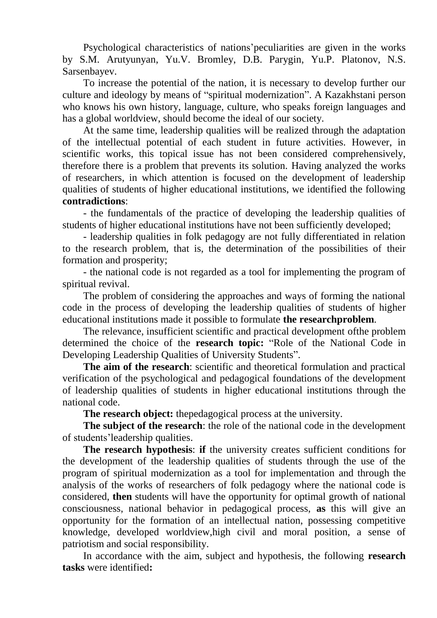Psychological characteristics of nations'peculiarities are given in the works by S.M. Arutyunyan, Yu.V. Bromley, D.B. Parygin, Yu.P. Platonov, N.S. Sarsenbayev.

To increase the potential of the nation, it is necessary to develop further our culture and ideology by means of "spiritual modernization". A Kazakhstani person who knows his own history, language, culture, who speaks foreign languages and has a global worldview, should become the ideal of our society.

At the same time, leadership qualities will be realized through the adaptation of the intellectual potential of each student in future activities. However, in scientific works, this topical issue has not been considered comprehensively, therefore there is a problem that prevents its solution. Having analyzed the works of researchers, in which attention is focused on the development of leadership qualities of students of higher educational institutions, we identified the following **contradictions**:

- the fundamentals of the practice of developing the leadership qualities of students of higher educational institutions have not been sufficiently developed;

- leadership qualities in folk pedagogy are not fully differentiated in relation to the research problem, that is, the determination of the possibilities of their formation and prosperity;

- the national code is not regarded as a tool for implementing the program of spiritual revival.

The problem of considering the approaches and ways of forming the national code in the process of developing the leadership qualities of students of higher educational institutions made it possible to formulate **the researchproblem**.

The relevance, insufficient scientific and practical development ofthe problem determined the choice of the **research topic:** "Role of the National Code in Developing Leadership Qualities of University Students".

**The aim of the research**: scientific and theoretical formulation and practical verification of the psychological and pedagogical foundations of the development of leadership qualities of students in higher educational institutions through the national code.

**The research object:** thepedagogical process at the university.

**The subject of the research**: the role of the national code in the development of students'leadership qualities.

**The research hypothesis**: **if** the university creates sufficient conditions for the development of the leadership qualities of students through the use of the program of spiritual modernization as a tool for implementation and through the analysis of the works of researchers of folk pedagogy where the national code is considered, **then** students will have the opportunity for optimal growth of national consciousness, national behavior in pedagogical process, **as** this will give an opportunity for the formation of an intellectual nation, possessing competitive knowledge, developed worldview,high civil and moral position, a sense of patriotism and social responsibility.

In accordance with the aim, subject and hypothesis, the following **research tasks** were identified**:**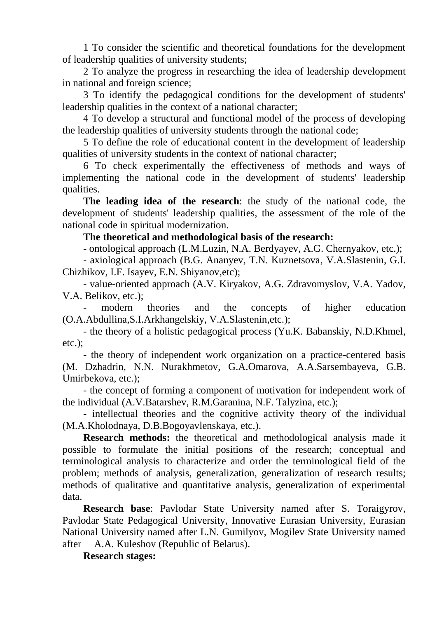1 To consider the scientific and theoretical foundations for the development of leadership qualities of university students;

2 To analyze the progress in researching the idea of leadership development in national and foreign science;

3 To identify the pedagogical conditions for the development of students' leadership qualities in the context of a national character;

4 To develop a structural and functional model of the process of developing the leadership qualities of university students through the national code;

5 To define the role of educational content in the development of leadership qualities of university students in the context of national character;

6 To check experimentally the effectiveness of methods and ways of implementing the national code in the development of students' leadership qualities.

**The leading idea of the research**: the study of the national code, the development of students' leadership qualities, the assessment of the role of the national code in spiritual modernization.

## **The theoretical and methodological basis of the research:**

- ontological approach (L.M.Luzin, N.A. Berdyayev, A.G. Chernyakov, etc.);

- axiological approach (B.G. Ananyev, T.N. Kuznetsova, V.A.Slastenin, G.I. Chizhikov, I.F. Isayev, E.N. Shiyanov,etc);

- value-oriented approach (A.V. Kiryakov, A.G. Zdravomyslov, V.A. Yadov, V.A. Belikov, etc.);

modern theories and the concepts of higher education (O.A.Abdullina,S.I.Arkhangelskiy, V.A.Slastenin,etc.);

- the theory of a holistic pedagogical process (Yu.K. Babanskiy, N.D.Khmel, etc.);

- the theory of independent work organization on a practice-centered basis (M. Dzhadrin, N.N. Nurakhmetov, G.A.Omarova, A.A.Sarsembayeva, G.B. Umirbekova, etc.);

- the concept of forming a component of motivation for independent work of the individual (A.V.Batarshev, R.M.Garanina, N.F. Talyzina, etc.);

- intellectual theories and the cognitive activity theory of the individual (M.A.Kholodnaya, D.B.Bogoyavlenskaya, etc.).

**Research methods:** the theoretical and methodological analysis made it possible to formulate the initial positions of the research; conceptual and terminological analysis to characterize and order the terminological field of the problem; methods of analysis, generalization, generalization of research results; methods of qualitative and quantitative analysis, generalization of experimental data.

**Research base**: Pavlodar State University named after S. Toraigyrov, Pavlodar State Pedagogical University, Innovative Eurasian University, Eurasian National University named after L.N. Gumilyov, Mogilev State University named after A.A. Kuleshov (Republic of Belarus).

**Research stages:**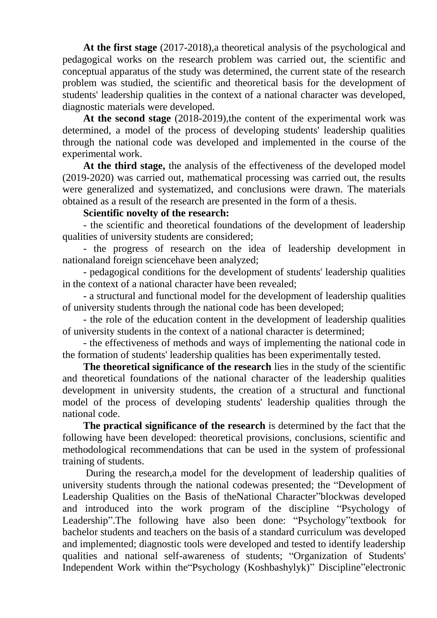**At the first stage** (2017-2018),a theoretical analysis of the psychological and pedagogical works on the research problem was carried out, the scientific and conceptual apparatus of the study was determined, the current state of the research problem was studied, the scientific and theoretical basis for the development of students' leadership qualities in the context of a national character was developed, diagnostic materials were developed.

**At the second stage** (2018-2019),the content of the experimental work was determined, a model of the process of developing students' leadership qualities through the national code was developed and implemented in the course of the experimental work.

**At the third stage,** the analysis of the effectiveness of the developed model (2019-2020) was carried out, mathematical processing was carried out, the results were generalized and systematized, and conclusions were drawn. The materials obtained as a result of the research are presented in the form of a thesis.

## **Scientific novelty of the research:**

- the scientific and theoretical foundations of the development of leadership qualities of university students are considered;

- the progress of research on the idea of leadership development in nationaland foreign sciencehave been analyzed;

- pedagogical conditions for the development of students' leadership qualities in the context of a national character have been revealed;

- a structural and functional model for the development of leadership qualities of university students through the national code has been developed;

- the role of the education content in the development of leadership qualities of university students in the context of a national character is determined;

- the effectiveness of methods and ways of implementing the national code in the formation of students' leadership qualities has been experimentally tested.

**The theoretical significance of the research** lies in the study of the scientific and theoretical foundations of the national character of the leadership qualities development in university students, the creation of a structural and functional model of the process of developing students' leadership qualities through the national code.

**The practical significance of the research** is determined by the fact that the following have been developed: theoretical provisions, conclusions, scientific and methodological recommendations that can be used in the system of professional training of students.

During the research,a model for the development of leadership qualities of university students through the national codewas presented; the "Development of Leadership Qualities on the Basis of theNational Character"blockwas developed and introduced into the work program of the discipline "Psychology of Leadership".The following have also been done: "Psychology"textbook for bachelor students and teachers on the basis of a standard curriculum was developed and implemented; diagnostic tools were developed and tested to identify leadership qualities and national self-awareness of students; "Organization of Students' Independent Work within the"Psychology (Koshbashylyk)" Discipline"electronic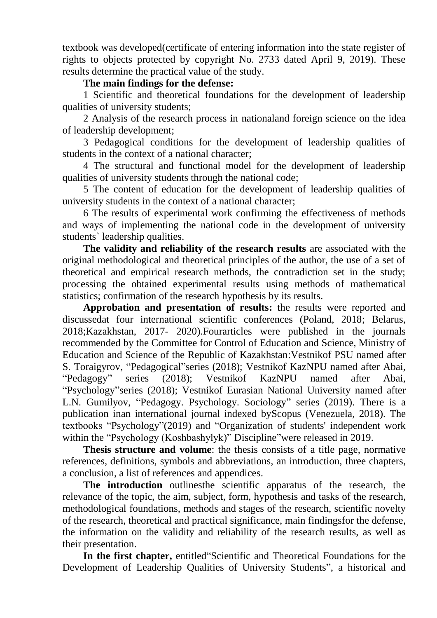textbook was developed(certificate of entering information into the state register of rights to objects protected by copyright No. 2733 dated April 9, 2019). These results determine the practical value of the study.

## **The main findings for the defense:**

1 Scientific and theoretical foundations for the development of leadership qualities of university students;

2 Analysis of the research process in nationaland foreign science on the idea of leadership development;

3 Pedagogical conditions for the development of leadership qualities of students in the context of a national character;

4 The structural and functional model for the development of leadership qualities of university students through the national code;

5 The content of education for the development of leadership qualities of university students in the context of a national character;

6 The results of experimental work confirming the effectiveness of methods and ways of implementing the national code in the development of university students` leadership qualities.

**The validity and reliability of the research results** are associated with the original methodological and theoretical principles of the author, the use of a set of theoretical and empirical research methods, the contradiction set in the study; processing the obtained experimental results using methods of mathematical statistics; confirmation of the research hypothesis by its results.

**Approbation and presentation of results:** the results were reported and discussedat four international scientific conferences (Poland, 2018; Belarus, 2018;Kazakhstan, 2017- 2020).Fourarticles were published in the journals recommended by the Committee for Control of Education and Science, Ministry of Education and Science of the Republic of Kazakhstan:Vestnikof PSU named after S. Toraigyrov, "Pedagogical"series (2018); Vestnikof KazNPU named after Abai, "Pedagogy" series (2018); Vestnikof KazNPU named after Abai, "Psychology"series (2018); Vestnikof Eurasian National University named after L.N. Gumilyov, "Pedagogy. Psychology. Sociology" series (2019). There is a publication inan international journal indexed byScopus (Venezuela, 2018). The textbooks "Psychology"(2019) and "Organization of students' independent work within the "Psychology (Koshbashylyk)" Discipline" were released in 2019.

**Thesis structure and volume**: the thesis consists of a title page, normative references, definitions, symbols and abbreviations, an introduction, three chapters, a conclusion, a list of references and appendices.

**The introduction** outlinesthe scientific apparatus of the research, the relevance of the topic, the aim, subject, form, hypothesis and tasks of the research, methodological foundations, methods and stages of the research, scientific novelty of the research, theoretical and practical significance, main findingsfor the defense, the information on the validity and reliability of the research results, as well as their presentation.

**In the first chapter,** entitled"Scientific and Theoretical Foundations for the Development of Leadership Qualities of University Students", a historical and